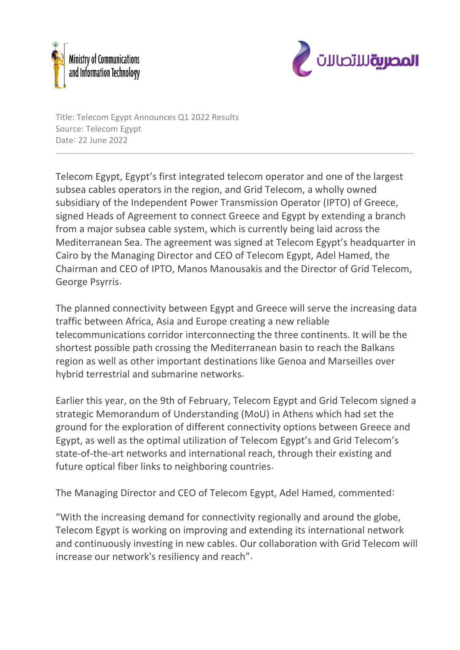



Title: Telecom Egypt Announces Q1 2022 Results Source: Telecom Egypt Date: 22 June 2022

Telecom Egypt, Egypt's first integrated telecom operator and one of the largest subsea cables operators in the region, and Grid Telecom, a wholly owned subsidiary of the Independent Power Transmission Operator (IPTO) of Greece, signed Heads of Agreement to connect Greece and Egypt by extending a branch from a major subsea cable system, which is currently being laid across the Mediterranean Sea. The agreement was signed at Telecom Egypt's headquarter in Cairo by the Managing Director and CEO of Telecom Egypt, Adel Hamed, the Chairman and CEO of IPTO, Manos Manousakis and the Director of Grid Telecom, George Psyrris.

The planned connectivity between Egypt and Greece will serve the increasing data traffic between Africa, Asia and Europe creating a new reliable telecommunications corridor interconnecting the three continents. It will be the shortest possible path crossing the Mediterranean basin to reach the Balkans region as well as other important destinations like Genoa and Marseilles over hybrid terrestrial and submarine networks.

Earlier this year, on the 9th of February, Telecom Egypt and Grid Telecom signed a strategic Memorandum of Understanding (MoU) in Athens which had set the ground for the exploration of different connectivity options between Greece and Egypt, as well as the optimal utilization of Telecom Egypt's and Grid Telecom's state-of-the-art networks and international reach, through their existing and future optical fiber links to neighboring countries.

The Managing Director and CEO of Telecom Egypt, Adel Hamed, commented:

"With the increasing demand for connectivity regionally and around the globe, Telecom Egypt is working on improving and extending its international network and continuously investing in new cables. Our collaboration with Grid Telecom will increase our network's resiliency and reach".